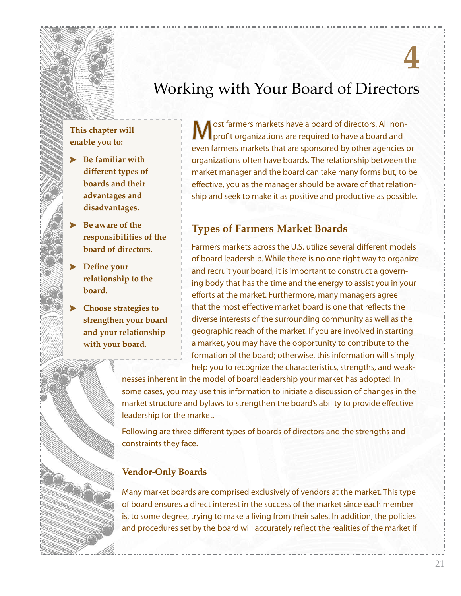# **4**

## Working with Your Board of Directors

#### **This chapter will enable you to:**

- **Be familiar with different types of boards and their advantages and disadvantages.**
- **Be aware of the responsibilities of the board of directors.**
- **Define your relationship to the board.**
- **Choose strategies to strengthen your board and your relationship with your board.**

ost farmers markets have a board of directors. All nonprofit organizations are required to have a board and even farmers markets that are sponsored by other agencies or organizations often have boards. The relationship between the market manager and the board can take many forms but, to be effective, you as the manager should be aware of that relationship and seek to make it as positive and productive as possible.

#### **Types of Farmers Market Boards**

Farmers markets across the U.S. utilize several different models of board leadership. While there is no one right way to organize and recruit your board, it is important to construct a governing body that has the time and the energy to assist you in your efforts at the market. Furthermore, many managers agree that the most effective market board is one that reflects the diverse interests of the surrounding community as well as the geographic reach of the market. If you are involved in starting a market, you may have the opportunity to contribute to the formation of the board; otherwise, this information will simply help you to recognize the characteristics, strengths, and weak-

nesses inherent in the model of board leadership your market has adopted. In some cases, you may use this information to initiate a discussion of changes in the market structure and bylaws to strengthen the board's ability to provide effective leadership for the market.

Following are three different types of boards of directors and the strengths and constraints they face.

#### **Vendor-Only Boards**

Many market boards are comprised exclusively of vendors at the market. This type of board ensures a direct interest in the success of the market since each member is, to some degree, trying to make a living from their sales. In addition, the policies and procedures set by the board will accurately reflect the realities of the market if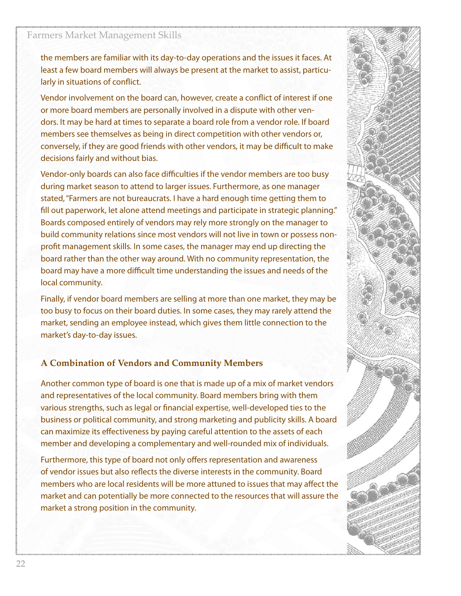#### Farmers Market Management Skills

the members are familiar with its day-to-day operations and the issues it faces. At least a few board members will always be present at the market to assist, particularly in situations of conflict.

Vendor involvement on the board can, however, create a conflict of interest if one or more board members are personally involved in a dispute with other vendors. It may be hard at times to separate a board role from a vendor role. If board members see themselves as being in direct competition with other vendors or, conversely, if they are good friends with other vendors, it may be difficult to make decisions fairly and without bias.

Vendor-only boards can also face difficulties if the vendor members are too busy during market season to attend to larger issues. Furthermore, as one manager stated, "Farmers are not bureaucrats. I have a hard enough time getting them to fill out paperwork, let alone attend meetings and participate in strategic planning." Boards composed entirely of vendors may rely more strongly on the manager to build community relations since most vendors will not live in town or possess nonprofit management skills. In some cases, the manager may end up directing the board rather than the other way around. With no community representation, the board may have a more difficult time understanding the issues and needs of the local community.

Finally, if vendor board members are selling at more than one market, they may be too busy to focus on their board duties. In some cases, they may rarely attend the market, sending an employee instead, which gives them little connection to the market's day-to-day issues.

#### **A Combination of Vendors and Community Members**

Another common type of board is one that is made up of a mix of market vendors and representatives of the local community. Board members bring with them various strengths, such as legal or financial expertise, well-developed ties to the business or political community, and strong marketing and publicity skills. A board can maximize its effectiveness by paying careful attention to the assets of each member and developing a complementary and well-rounded mix of individuals.

Furthermore, this type of board not only offers representation and awareness of vendor issues but also reflects the diverse interests in the community. Board members who are local residents will be more attuned to issues that may affect the market and can potentially be more connected to the resources that will assure the market a strong position in the community.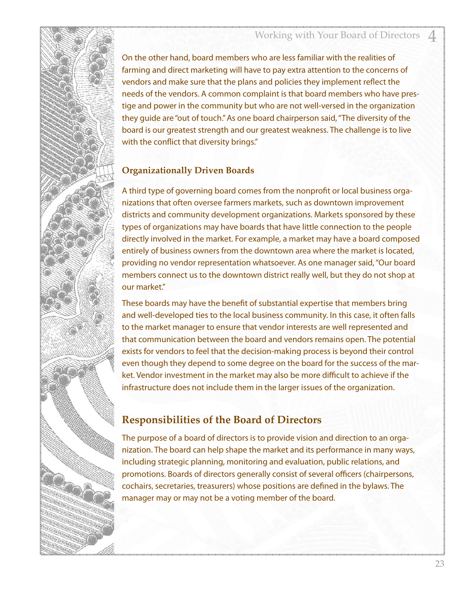On the other hand, board members who are less familiar with the realities of farming and direct marketing will have to pay extra attention to the concerns of vendors and make sure that the plans and policies they implement reflect the needs of the vendors. A common complaint is that board members who have prestige and power in the community but who are not well-versed in the organization they guide are "out of touch." As one board chairperson said, "The diversity of the board is our greatest strength and our greatest weakness. The challenge is to live with the conflict that diversity brings."

#### **Organizationally Driven Boards**

A third type of governing board comes from the nonprofit or local business organizations that often oversee farmers markets, such as downtown improvement districts and community development organizations. Markets sponsored by these types of organizations may have boards that have little connection to the people directly involved in the market. For example, a market may have a board composed entirely of business owners from the downtown area where the market is located, providing no vendor representation whatsoever. As one manager said, "Our board members connect us to the downtown district really well, but they do not shop at our market."

These boards may have the benefit of substantial expertise that members bring and well-developed ties to the local business community. In this case, it often falls to the market manager to ensure that vendor interests are well represented and that communication between the board and vendors remains open. The potential exists for vendors to feel that the decision-making process is beyond their control even though they depend to some degree on the board for the success of the market. Vendor investment in the market may also be more difficult to achieve if the infrastructure does not include them in the larger issues of the organization.

#### **Responsibilities of the Board of Directors**

The purpose of a board of directors is to provide vision and direction to an organization. The board can help shape the market and its performance in many ways, including strategic planning, monitoring and evaluation, public relations, and promotions. Boards of directors generally consist of several officers (chairpersons, cochairs, secretaries, treasurers) whose positions are defined in the bylaws. The manager may or may not be a voting member of the board.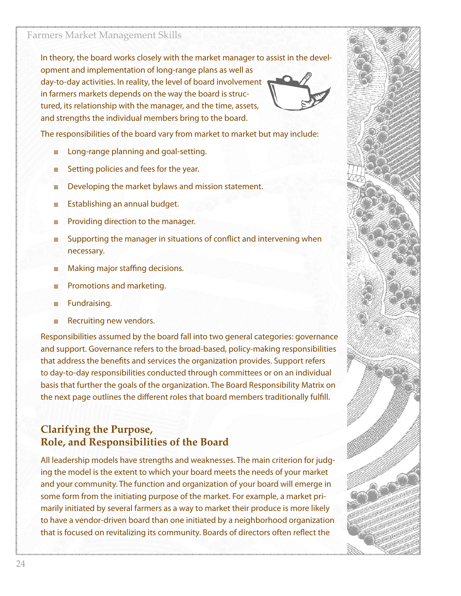In theory, the board works closely with the market manager to assist in the development and implementation of long-range plans as well as day-to-day activities. In reality, the level of board involvement in farmers markets depends on the way the board is structured, its relationship with the manager, and the time, assets, and strengths the individual members bring to the board.



The responsibilities of the board vary from market to market but may include:

- Long-range planning and goal-setting.
- Setting policies and fees for the year.
- Developing the market bylaws and mission statement.
- Establishing an annual budget.
- Providing direction to the manager.
- Supporting the manager in situations of conflict and intervening when necessary.
- Making major staffing decisions.
- Promotions and marketing.
- Fundraising.
- Recruiting new vendors.

Responsibilities assumed by the board fall into two general categories: governance and support. Governance refers to the broad-based, policy-making responsibilities that address the benefits and services the organization provides. Support refers to day-to-day responsibilities conducted through committees or on an individual basis that further the goals of the organization. The Board Responsibility Matrix on the next page outlines the different roles that board members traditionally fulfill.

#### **Clarifying the Purpose, Role, and Responsibilities of the Board**

All leadership models have strengths and weaknesses. The main criterion for judging the model is the extent to which your board meets the needs of your market and your community. The function and organization of your board will emerge in some form from the initiating purpose of the market. For example, a market primarily initiated by several farmers as a way to market their produce is more likely to have a vendor-driven board than one initiated by a neighborhood organization that is focused on revitalizing its community. Boards of directors often reflect the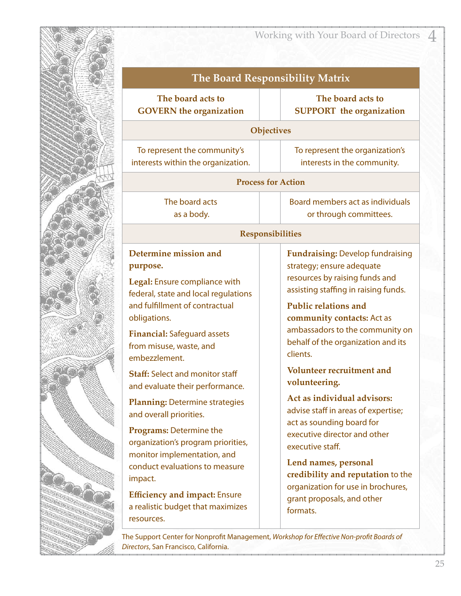

### Working with Your Board of Directors 4

| <b>The Board Responsibility Matrix</b>                                                                                                                                                                                                                                                                                                                                                               |                                                                                                                                                                                                                                                                                                                                                |
|------------------------------------------------------------------------------------------------------------------------------------------------------------------------------------------------------------------------------------------------------------------------------------------------------------------------------------------------------------------------------------------------------|------------------------------------------------------------------------------------------------------------------------------------------------------------------------------------------------------------------------------------------------------------------------------------------------------------------------------------------------|
| The board acts to<br><b>GOVERN</b> the organization                                                                                                                                                                                                                                                                                                                                                  | The board acts to<br><b>SUPPORT</b> the organization                                                                                                                                                                                                                                                                                           |
|                                                                                                                                                                                                                                                                                                                                                                                                      | Objectives                                                                                                                                                                                                                                                                                                                                     |
| To represent the community's<br>interests within the organization.                                                                                                                                                                                                                                                                                                                                   | To represent the organization's<br>interests in the community.                                                                                                                                                                                                                                                                                 |
|                                                                                                                                                                                                                                                                                                                                                                                                      | <b>Process for Action</b>                                                                                                                                                                                                                                                                                                                      |
| The board acts<br>as a body.                                                                                                                                                                                                                                                                                                                                                                         | Board members act as individuals<br>or through committees.                                                                                                                                                                                                                                                                                     |
|                                                                                                                                                                                                                                                                                                                                                                                                      | <b>Responsibilities</b>                                                                                                                                                                                                                                                                                                                        |
| Determine mission and<br>purpose.<br>Legal: Ensure compliance with<br>federal, state and local regulations<br>and fulfillment of contractual<br>obligations.<br><b>Financial: Safeguard assets</b><br>from misuse, waste, and<br>embezzlement.<br><b>Staff: Select and monitor staff</b><br>and evaluate their performance.                                                                          | <b>Fundraising: Develop fundraising</b><br>strategy; ensure adequate<br>resources by raising funds and<br>assisting staffing in raising funds.<br><b>Public relations and</b><br>community contacts: Act as<br>ambassadors to the community on<br>behalf of the organization and its<br>clients.<br>Volunteer recruitment and<br>volunteering. |
| <b>Planning: Determine strategies</b><br>and overall priorities.<br>Programs: Determine the<br>organization's program priorities,<br>monitor implementation, and<br>conduct evaluations to measure<br>impact.<br><b>Efficiency and impact: Ensure</b><br>a realistic budget that maximizes<br>resources.<br>The Support Center for Nonprofit Management, Workshop for Effective Non-profit Boards of | Act as individual advisors:<br>advise staff in areas of expertise;<br>act as sounding board for<br>executive director and other<br>executive staff.<br>Lend names, personal<br>credibility and reputation to the<br>organization for use in brochures,<br>grant proposals, and other<br>formats.                                               |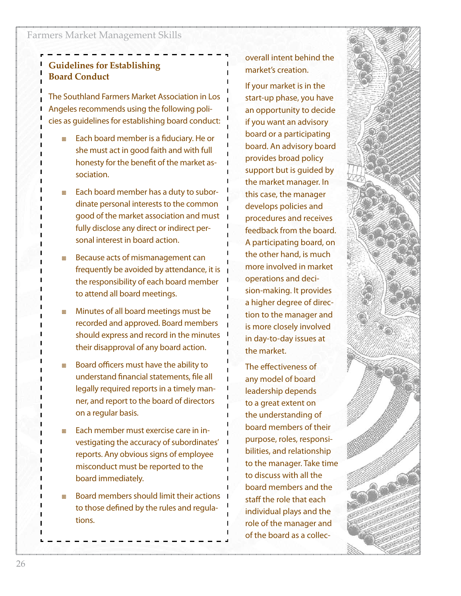#### **Guidelines for Establishing Board Conduct**

The Southland Farmers Market Association in Los Angeles recommends using the following policies as guidelines for establishing board conduct:

- Each board member is a fiduciary. He or she must act in good faith and with full honesty for the benefit of the market association.
- Each board member has a duty to subordinate personal interests to the common good of the market association and must fully disclose any direct or indirect personal interest in board action.
- Because acts of mismanagement can frequently be avoided by attendance, it is the responsibility of each board member to attend all board meetings.
- Minutes of all board meetings must be recorded and approved. Board members should express and record in the minutes their disapproval of any board action.
- Board officers must have the ability to understand financial statements, file all legally required reports in a timely manner, and report to the board of directors on a regular basis.
- Each member must exercise care in investigating the accuracy of subordinates' reports. Any obvious signs of employee misconduct must be reported to the board immediately.
- Board members should limit their actions to those defined by the rules and regulations.

overall intent behind the market's creation.

If your market is in the start-up phase, you have an opportunity to decide if you want an advisory board or a participating board. An advisory board provides broad policy support but is guided by the market manager. In this case, the manager develops policies and procedures and receives feedback from the board. A participating board, on the other hand, is much more involved in market operations and decision-making. It provides a higher degree of direction to the manager and is more closely involved in day-to-day issues at the market.

The effectiveness of any model of board leadership depends to a great extent on the understanding of board members of their purpose, roles, responsibilities, and relationship to the manager. Take time to discuss with all the board members and the staff the role that each individual plays and the role of the manager and of the board as a collec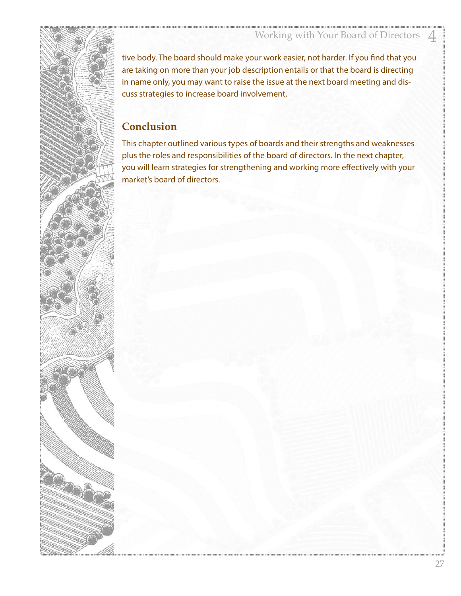tive body. The board should make your work easier, not harder. If you find that you are taking on more than your job description entails or that the board is directing in name only, you may want to raise the issue at the next board meeting and discuss strategies to increase board involvement.

#### **Conclusion**

This chapter outlined various types of boards and their strengths and weaknesses plus the roles and responsibilities of the board of directors. In the next chapter, you will learn strategies for strengthening and working more effectively with your market's board of directors.